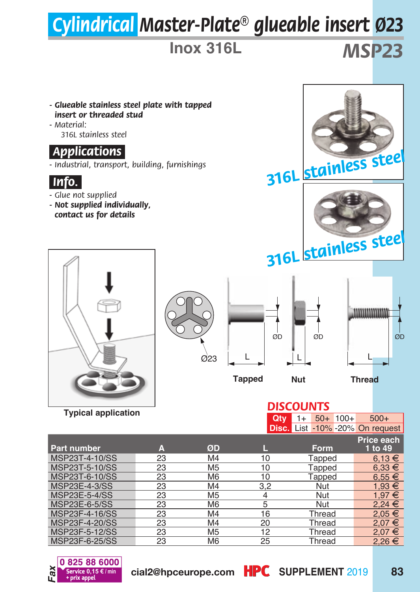## *Cylindrical Master-Plate® glueable insert Ø23*

**Inox 316L**

*MSP23*

- *Glueable stainless steel plate with tapped insert or threaded stud*
- *Material: 316L stainless steel*

## *.Applications.*

*- Industrial, transport, building, furnishings*



- *Glue not supplied*
- *Not supplied individually, contact us for details*







**Typical application**







## *DISCOUNTS*

| Disc. List -10% -20% On request |
|---------------------------------|
| Price each                      |
| 1 to 49                         |
| $6.13 \in$                      |
| $6.33 \in$                      |
| $6.55 \in$                      |
| $1.93 \in$                      |
| $1.97 \in$                      |
| $2.24 \in$                      |
| $2.05 \in$                      |
| 2.07 €                          |
| $2.07 \in$                      |
| 2,26€                           |
|                                 |



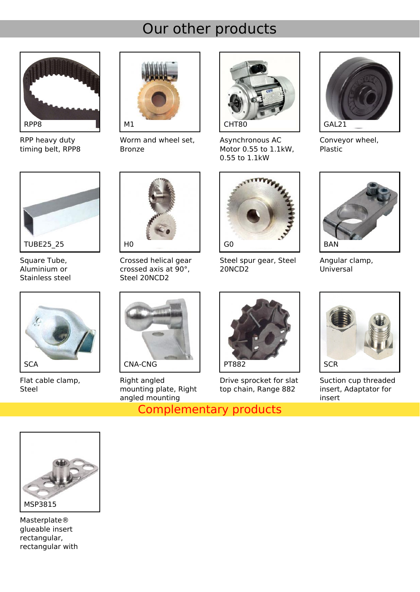## Our other products



RPP heavy duty timing belt, RPP8



Worm and wheel set, Bronze



Asynchronous AC Motor 0.55 to 1.1kW, 0.55 to 1.1kW



Conveyor wheel, Plastic



Square Tube, Aluminium or Stainless steel



Flat cable clamp, Steel



Crossed helical gear crossed axis at 90°, Steel 20NCD2



Right angled mounting plate, Right angled mounting

**Complementary products** 



Steel spur gear, Steel 20NCD2



Drive sprocket for slat top chain, Range 882



Angular clamp, Universal



Suction cup threaded insert, Adaptator for insert



Masterplate® glueable insert rectangular, rectangular with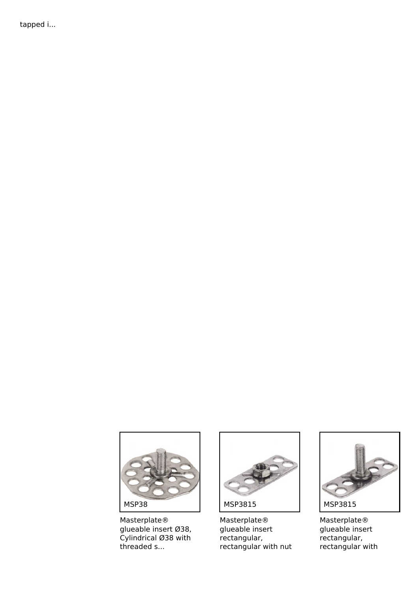tapped i...



Masterplate® glueable insert Ø38, Cylindrical Ø38 with threaded s...



Masterplate® glueable insert rectangular, rectangular with nut



Masterplate® glueable insert rectangular, rectangular with